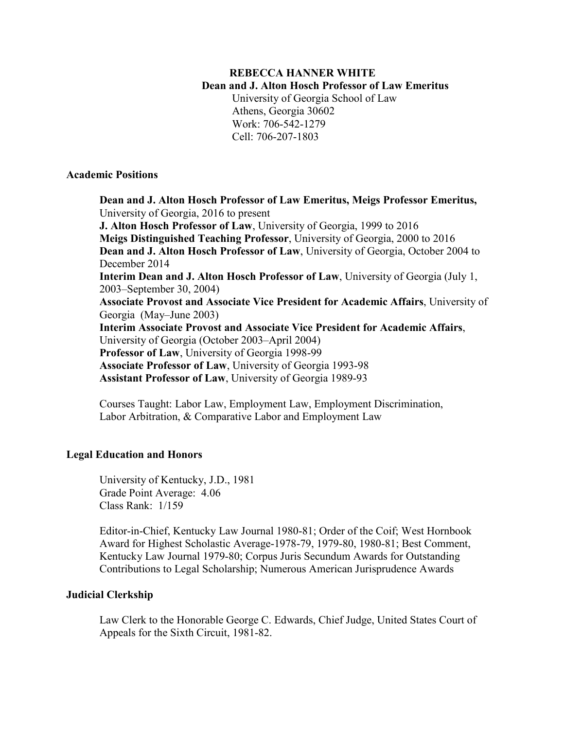#### **REBECCA HANNER WHITE Dean and J. Alton Hosch Professor of Law Emeritus**

University of Georgia School of Law Athens, Georgia 30602 Work: 706-542-1279 Cell: 706-207-1803

### **Academic Positions**

**Dean and J. Alton Hosch Professor of Law Emeritus, Meigs Professor Emeritus,** University of Georgia, 2016 to present **J. Alton Hosch Professor of Law**, University of Georgia, 1999 to 2016 **Meigs Distinguished Teaching Professor**, University of Georgia, 2000 to 2016 **Dean and J. Alton Hosch Professor of Law**, University of Georgia, October 2004 to December 2014 **Interim Dean and J. Alton Hosch Professor of Law**, University of Georgia (July 1, 2003–September 30, 2004) **Associate Provost and Associate Vice President for Academic Affairs**, University of Georgia (May–June 2003) **Interim Associate Provost and Associate Vice President for Academic Affairs**, University of Georgia (October 2003–April 2004) **Professor of Law**, University of Georgia 1998-99 **Associate Professor of Law**, University of Georgia 1993-98 **Assistant Professor of Law**, University of Georgia 1989-93

Courses Taught: Labor Law, Employment Law, Employment Discrimination, Labor Arbitration, & Comparative Labor and Employment Law

# **Legal Education and Honors**

University of Kentucky, J.D., 1981 Grade Point Average: 4.06 Class Rank: 1/159

Editor-in-Chief, Kentucky Law Journal 1980-81; Order of the Coif; West Hornbook Award for Highest Scholastic Average-1978-79, 1979-80, 1980-81; Best Comment, Kentucky Law Journal 1979-80; Corpus Juris Secundum Awards for Outstanding Contributions to Legal Scholarship; Numerous American Jurisprudence Awards

### **Judicial Clerkship**

Law Clerk to the Honorable George C. Edwards, Chief Judge, United States Court of Appeals for the Sixth Circuit, 1981-82.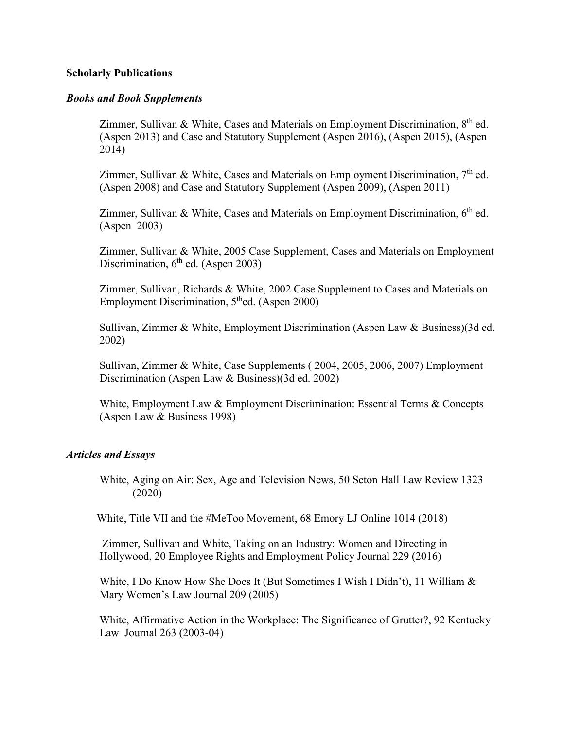## **Scholarly Publications**

## *Books and Book Supplements*

Zimmer, Sullivan & White, Cases and Materials on Employment Discrimination,  $8<sup>th</sup>$  ed. (Aspen 2013) and Case and Statutory Supplement (Aspen 2016), (Aspen 2015), (Aspen 2014)

Zimmer, Sullivan & White, Cases and Materials on Employment Discrimination,  $7<sup>th</sup>$  ed. (Aspen 2008) and Case and Statutory Supplement (Aspen 2009), (Aspen 2011)

Zimmer, Sullivan & White, Cases and Materials on Employment Discrimination.  $6<sup>th</sup>$  ed. (Aspen 2003)

Zimmer, Sullivan & White, 2005 Case Supplement, Cases and Materials on Employment Discrimination,  $6<sup>th</sup>$  ed. (Aspen 2003)

Zimmer, Sullivan, Richards & White, 2002 Case Supplement to Cases and Materials on Employment Discrimination, 5<sup>th</sup>ed. (Aspen 2000)

Sullivan, Zimmer & White, Employment Discrimination (Aspen Law & Business)(3d ed. 2002)

Sullivan, Zimmer & White, Case Supplements ( 2004, 2005, 2006, 2007) Employment Discrimination (Aspen Law & Business)(3d ed. 2002)

White, Employment Law & Employment Discrimination: Essential Terms & Concepts (Aspen Law & Business 1998)

# *Articles and Essays*

White, Aging on Air: Sex, Age and Television News, 50 Seton Hall Law Review 1323 (2020)

White, Title VII and the #MeToo Movement, 68 Emory LJ Online 1014 (2018)

 Zimmer, Sullivan and White, Taking on an Industry: Women and Directing in Hollywood, 20 Employee Rights and Employment Policy Journal 229 (2016)

White, I Do Know How She Does It (But Sometimes I Wish I Didn't), 11 William & Mary Women's Law Journal 209 (2005)

White, Affirmative Action in the Workplace: The Significance of Grutter?, 92 Kentucky Law Journal 263 (2003-04)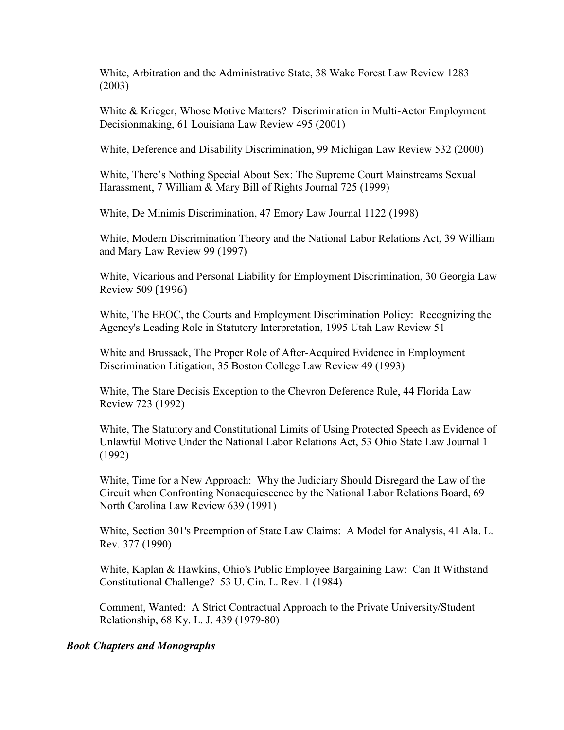White, Arbitration and the Administrative State, 38 Wake Forest Law Review 1283 (2003)

White & Krieger, Whose Motive Matters? Discrimination in Multi-Actor Employment Decisionmaking, 61 Louisiana Law Review 495 (2001)

White, Deference and Disability Discrimination, 99 Michigan Law Review 532 (2000)

White, There's Nothing Special About Sex: The Supreme Court Mainstreams Sexual Harassment, 7 William & Mary Bill of Rights Journal 725 (1999)

White, De Minimis Discrimination, 47 Emory Law Journal 1122 (1998)

White, Modern Discrimination Theory and the National Labor Relations Act, 39 William and Mary Law Review 99 (1997)

White, Vicarious and Personal Liability for Employment Discrimination, 30 Georgia Law Review 509 (1996)

White, The EEOC, the Courts and Employment Discrimination Policy: Recognizing the Agency's Leading Role in Statutory Interpretation, 1995 Utah Law Review 51

White and Brussack, The Proper Role of After-Acquired Evidence in Employment Discrimination Litigation, 35 Boston College Law Review 49 (1993)

White, The Stare Decisis Exception to the Chevron Deference Rule, 44 Florida Law Review 723 (1992)

White, The Statutory and Constitutional Limits of Using Protected Speech as Evidence of Unlawful Motive Under the National Labor Relations Act, 53 Ohio State Law Journal 1 (1992)

White, Time for a New Approach: Why the Judiciary Should Disregard the Law of the Circuit when Confronting Nonacquiescence by the National Labor Relations Board, 69 North Carolina Law Review 639 (1991)

White, Section 301's Preemption of State Law Claims: A Model for Analysis, 41 Ala. L. Rev. 377 (1990)

White, Kaplan & Hawkins, Ohio's Public Employee Bargaining Law: Can It Withstand Constitutional Challenge? 53 U. Cin. L. Rev. 1 (1984)

Comment, Wanted: A Strict Contractual Approach to the Private University/Student Relationship, 68 Ky. L. J. 439 (1979-80)

# *Book Chapters and Monographs*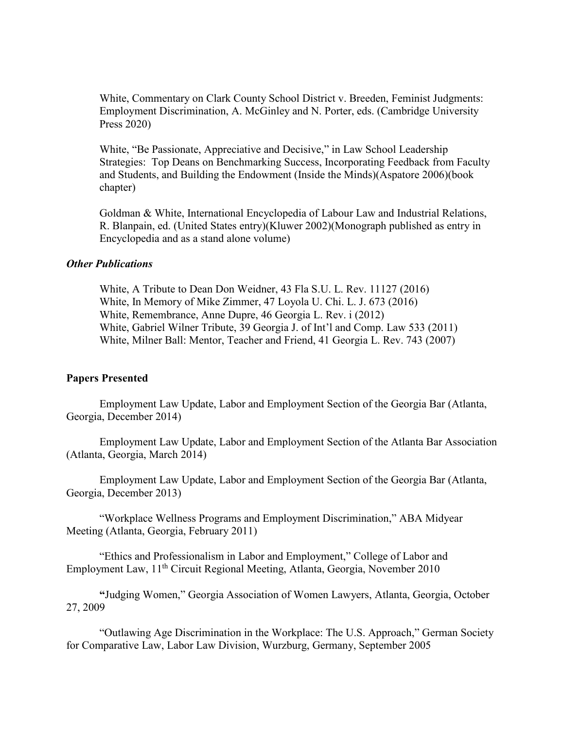White, Commentary on Clark County School District v. Breeden, Feminist Judgments: Employment Discrimination, A. McGinley and N. Porter, eds. (Cambridge University Press 2020)

White, "Be Passionate, Appreciative and Decisive," in Law School Leadership Strategies: Top Deans on Benchmarking Success, Incorporating Feedback from Faculty and Students, and Building the Endowment (Inside the Minds)(Aspatore 2006)(book chapter)

Goldman & White, International Encyclopedia of Labour Law and Industrial Relations, R. Blanpain, ed. (United States entry)(Kluwer 2002)(Monograph published as entry in Encyclopedia and as a stand alone volume)

# *Other Publications*

White, A Tribute to Dean Don Weidner, 43 Fla S.U. L. Rev. 11127 (2016) White, In Memory of Mike Zimmer, 47 Loyola U. Chi. L. J. 673 (2016) White, Remembrance, Anne Dupre, 46 Georgia L. Rev. i (2012) White, Gabriel Wilner Tribute, 39 Georgia J. of Int'l and Comp. Law 533 (2011) White, Milner Ball: Mentor, Teacher and Friend, 41 Georgia L. Rev. 743 (2007)

### **Papers Presented**

Employment Law Update, Labor and Employment Section of the Georgia Bar (Atlanta, Georgia, December 2014)

Employment Law Update, Labor and Employment Section of the Atlanta Bar Association (Atlanta, Georgia, March 2014)

Employment Law Update, Labor and Employment Section of the Georgia Bar (Atlanta, Georgia, December 2013)

"Workplace Wellness Programs and Employment Discrimination," ABA Midyear Meeting (Atlanta, Georgia, February 2011)

"Ethics and Professionalism in Labor and Employment," College of Labor and Employment Law, 11th Circuit Regional Meeting, Atlanta, Georgia, November 2010

**"**Judging Women," Georgia Association of Women Lawyers, Atlanta, Georgia, October 27, 2009

"Outlawing Age Discrimination in the Workplace: The U.S. Approach," German Society for Comparative Law, Labor Law Division, Wurzburg, Germany, September 2005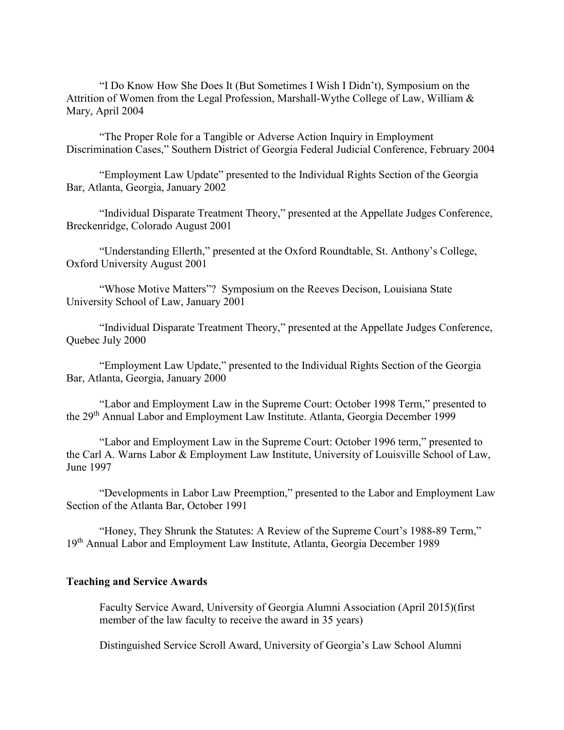"I Do Know How She Does It (But Sometimes I Wish I Didn't), Symposium on the Attrition of Women from the Legal Profession, Marshall-Wythe College of Law, William & Mary, April 2004

"The Proper Role for a Tangible or Adverse Action Inquiry in Employment Discrimination Cases," Southern District of Georgia Federal Judicial Conference, February 2004

"Employment Law Update" presented to the Individual Rights Section of the Georgia Bar, Atlanta, Georgia, January 2002

"Individual Disparate Treatment Theory," presented at the Appellate Judges Conference, Breckenridge, Colorado August 2001

"Understanding Ellerth," presented at the Oxford Roundtable, St. Anthony's College, Oxford University August 2001

"Whose Motive Matters"? Symposium on the Reeves Decison, Louisiana State University School of Law, January 2001

"Individual Disparate Treatment Theory," presented at the Appellate Judges Conference, Quebec July 2000

"Employment Law Update," presented to the Individual Rights Section of the Georgia Bar, Atlanta, Georgia, January 2000

"Labor and Employment Law in the Supreme Court: October 1998 Term," presented to the 29th Annual Labor and Employment Law Institute. Atlanta, Georgia December 1999

"Labor and Employment Law in the Supreme Court: October 1996 term," presented to the Carl A. Warns Labor & Employment Law Institute, University of Louisville School of Law, June 1997

"Developments in Labor Law Preemption," presented to the Labor and Employment Law Section of the Atlanta Bar, October 1991

"Honey, They Shrunk the Statutes: A Review of the Supreme Court's 1988-89 Term," 19th Annual Labor and Employment Law Institute, Atlanta, Georgia December 1989

### **Teaching and Service Awards**

Faculty Service Award, University of Georgia Alumni Association (April 2015)(first member of the law faculty to receive the award in 35 years)

Distinguished Service Scroll Award, University of Georgia's Law School Alumni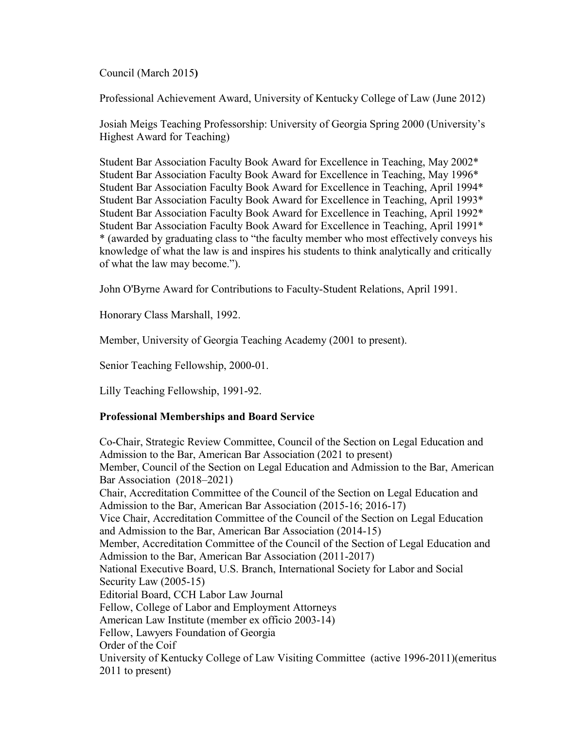Council (March 2015**)**

Professional Achievement Award, University of Kentucky College of Law (June 2012)

Josiah Meigs Teaching Professorship: University of Georgia Spring 2000 (University's Highest Award for Teaching)

Student Bar Association Faculty Book Award for Excellence in Teaching, May 2002\* Student Bar Association Faculty Book Award for Excellence in Teaching, May 1996\* Student Bar Association Faculty Book Award for Excellence in Teaching, April 1994\* Student Bar Association Faculty Book Award for Excellence in Teaching, April 1993\* Student Bar Association Faculty Book Award for Excellence in Teaching, April 1992\* Student Bar Association Faculty Book Award for Excellence in Teaching, April 1991\* \* (awarded by graduating class to "the faculty member who most effectively conveys his knowledge of what the law is and inspires his students to think analytically and critically of what the law may become.").

John O'Byrne Award for Contributions to Faculty-Student Relations, April 1991.

Honorary Class Marshall, 1992.

Member, University of Georgia Teaching Academy (2001 to present).

Senior Teaching Fellowship, 2000-01.

Lilly Teaching Fellowship, 1991-92.

# **Professional Memberships and Board Service**

Co-Chair, Strategic Review Committee, Council of the Section on Legal Education and Admission to the Bar, American Bar Association (2021 to present) Member, Council of the Section on Legal Education and Admission to the Bar, American Bar Association (2018–2021) Chair, Accreditation Committee of the Council of the Section on Legal Education and Admission to the Bar, American Bar Association (2015-16; 2016-17) Vice Chair, Accreditation Committee of the Council of the Section on Legal Education and Admission to the Bar, American Bar Association (2014-15) Member, Accreditation Committee of the Council of the Section of Legal Education and Admission to the Bar, American Bar Association (2011-2017) National Executive Board, U.S. Branch, International Society for Labor and Social Security Law (2005-15) Editorial Board, CCH Labor Law Journal Fellow, College of Labor and Employment Attorneys American Law Institute (member ex officio 2003-14) Fellow, Lawyers Foundation of Georgia Order of the Coif University of Kentucky College of Law Visiting Committee (active 1996-2011)(emeritus 2011 to present)